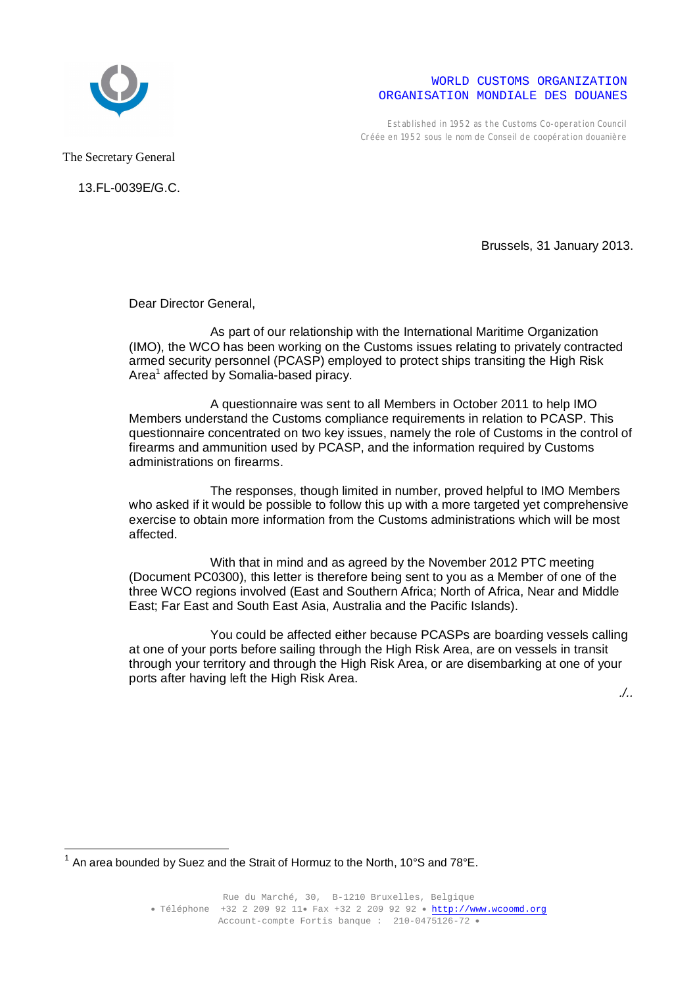

## WORLD CUSTOMS ORGANIZATION ORGANISATION MONDIALE DES DOUANES

Established in 1952 as the Customs Co-operation Council Créée en 1952 sous le nom de Conseil de coopération douanière

The Secretary General

 $\overline{a}$ 

13.FL-0039E/G.C.

Brussels, 31 January 2013.

Dear Director General,

As part of our relationship with the International Maritime Organization (IMO), the WCO has been working on the Customs issues relating to privately contracted armed security personnel (PCASP) employed to protect ships transiting the High Risk Area<sup>1</sup> affected by Somalia-based piracy.

A questionnaire was sent to all Members in October 2011 to help IMO Members understand the Customs compliance requirements in relation to PCASP. This questionnaire concentrated on two key issues, namely the role of Customs in the control of firearms and ammunition used by PCASP, and the information required by Customs administrations on firearms.

The responses, though limited in number, proved helpful to IMO Members who asked if it would be possible to follow this up with a more targeted yet comprehensive exercise to obtain more information from the Customs administrations which will be most affected.

With that in mind and as agreed by the November 2012 PTC meeting (Document PC0300), this letter is therefore being sent to you as a Member of one of the three WCO regions involved (East and Southern Africa; North of Africa, Near and Middle East; Far East and South East Asia, Australia and the Pacific Islands).

You could be affected either because PCASPs are boarding vessels calling at one of your ports before sailing through the High Risk Area, are on vessels in transit through your territory and through the High Risk Area, or are disembarking at one of your ports after having left the High Risk Area.

*./..*

 $^1$  An area bounded by Suez and the Strait of Hormuz to the North, 10°S and 78°E.